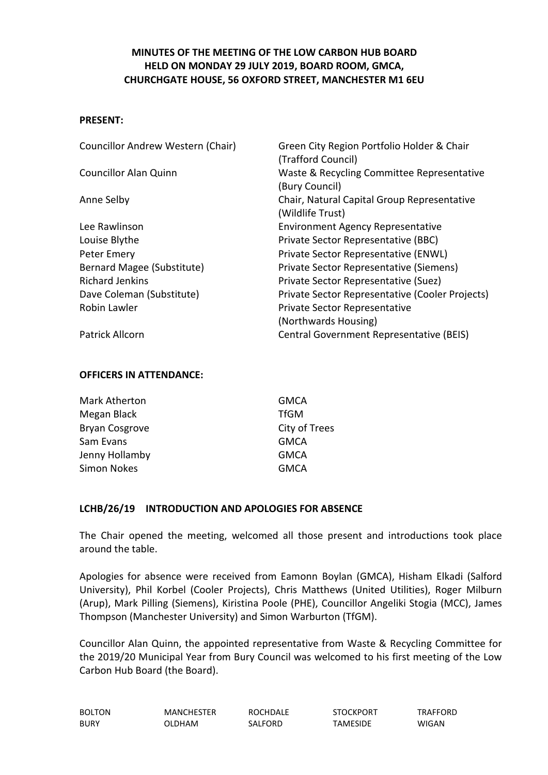# **MINUTES OF THE MEETING OF THE LOW CARBON HUB BOARD HELD ON MONDAY 29 JULY 2019, BOARD ROOM, GMCA, CHURCHGATE HOUSE, 56 OXFORD STREET, MANCHESTER M1 6EU**

#### **PRESENT:**

| Councillor Andrew Western (Chair) | Green City Region Portfolio Holder & Chair      |  |
|-----------------------------------|-------------------------------------------------|--|
|                                   | (Trafford Council)                              |  |
| <b>Councillor Alan Quinn</b>      | Waste & Recycling Committee Representative      |  |
|                                   | (Bury Council)                                  |  |
| Anne Selby                        | Chair, Natural Capital Group Representative     |  |
|                                   | (Wildlife Trust)                                |  |
| Lee Rawlinson                     | <b>Environment Agency Representative</b>        |  |
| Louise Blythe                     | Private Sector Representative (BBC)             |  |
| Peter Emery                       | Private Sector Representative (ENWL)            |  |
| Bernard Magee (Substitute)        | Private Sector Representative (Siemens)         |  |
| <b>Richard Jenkins</b>            | Private Sector Representative (Suez)            |  |
| Dave Coleman (Substitute)         | Private Sector Representative (Cooler Projects) |  |
| Robin Lawler                      | Private Sector Representative                   |  |
|                                   | (Northwards Housing)                            |  |
| Patrick Allcorn                   | Central Government Representative (BEIS)        |  |

#### **OFFICERS IN ATTENDANCE:**

| Mark Atherton         | <b>GMCA</b>   |
|-----------------------|---------------|
| Megan Black           | <b>TfGM</b>   |
| <b>Bryan Cosgrove</b> | City of Trees |
| Sam Evans             | <b>GMCA</b>   |
| Jenny Hollamby        | <b>GMCA</b>   |
| <b>Simon Nokes</b>    | <b>GMCA</b>   |

#### **LCHB/26/19 INTRODUCTION AND APOLOGIES FOR ABSENCE**

The Chair opened the meeting, welcomed all those present and introductions took place around the table.

Apologies for absence were received from Eamonn Boylan (GMCA), Hisham Elkadi (Salford University), Phil Korbel (Cooler Projects), Chris Matthews (United Utilities), Roger Milburn (Arup), Mark Pilling (Siemens), Kiristina Poole (PHE), Councillor Angeliki Stogia (MCC), James Thompson (Manchester University) and Simon Warburton (TfGM).

Councillor Alan Quinn, the appointed representative from Waste & Recycling Committee for the 2019/20 Municipal Year from Bury Council was welcomed to his first meeting of the Low Carbon Hub Board (the Board).

| <b>BOLTON</b> | <b>MANCHESTER</b> | <b>ROCHDALE</b> | <b>STOCKPORT</b> | TRAFFORD |
|---------------|-------------------|-----------------|------------------|----------|
| <b>BURY</b>   | OLDHAM            | SALFORD         | <b>TAMESIDE</b>  | WIGAN    |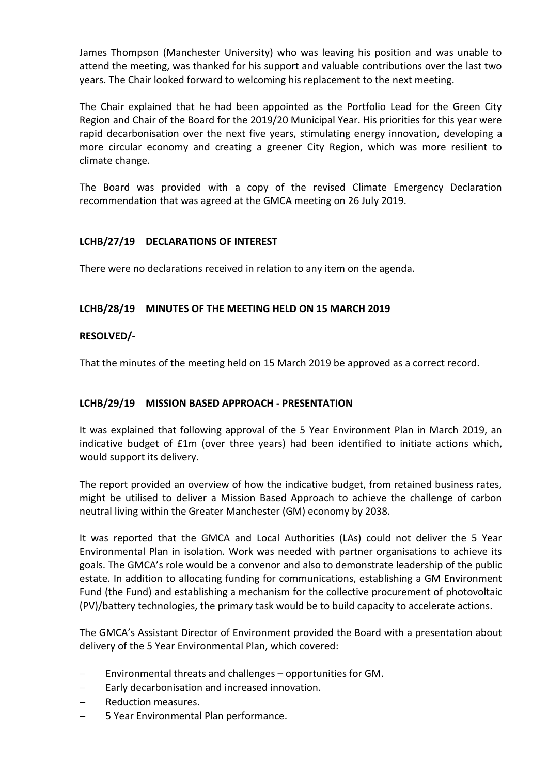James Thompson (Manchester University) who was leaving his position and was unable to attend the meeting, was thanked for his support and valuable contributions over the last two years. The Chair looked forward to welcoming his replacement to the next meeting.

The Chair explained that he had been appointed as the Portfolio Lead for the Green City Region and Chair of the Board for the 2019/20 Municipal Year. His priorities for this year were rapid decarbonisation over the next five years, stimulating energy innovation, developing a more circular economy and creating a greener City Region, which was more resilient to climate change.

The Board was provided with a copy of the revised Climate Emergency Declaration recommendation that was agreed at the GMCA meeting on 26 July 2019.

# **LCHB/27/19 DECLARATIONS OF INTEREST**

There were no declarations received in relation to any item on the agenda.

### **LCHB/28/19 MINUTES OF THE MEETING HELD ON 15 MARCH 2019**

### **RESOLVED/-**

That the minutes of the meeting held on 15 March 2019 be approved as a correct record.

#### **LCHB/29/19 MISSION BASED APPROACH - PRESENTATION**

It was explained that following approval of the 5 Year Environment Plan in March 2019, an indicative budget of £1m (over three years) had been identified to initiate actions which, would support its delivery.

The report provided an overview of how the indicative budget, from retained business rates, might be utilised to deliver a Mission Based Approach to achieve the challenge of carbon neutral living within the Greater Manchester (GM) economy by 2038.

It was reported that the GMCA and Local Authorities (LAs) could not deliver the 5 Year Environmental Plan in isolation. Work was needed with partner organisations to achieve its goals. The GMCA's role would be a convenor and also to demonstrate leadership of the public estate. In addition to allocating funding for communications, establishing a GM Environment Fund (the Fund) and establishing a mechanism for the collective procurement of photovoltaic (PV)/battery technologies, the primary task would be to build capacity to accelerate actions.

The GMCA's Assistant Director of Environment provided the Board with a presentation about delivery of the 5 Year Environmental Plan, which covered:

- Environmental threats and challenges opportunities for GM.
- $\overline{-}$  Early decarbonisation and increased innovation.
- Reduction measures.
- 5 Year Environmental Plan performance.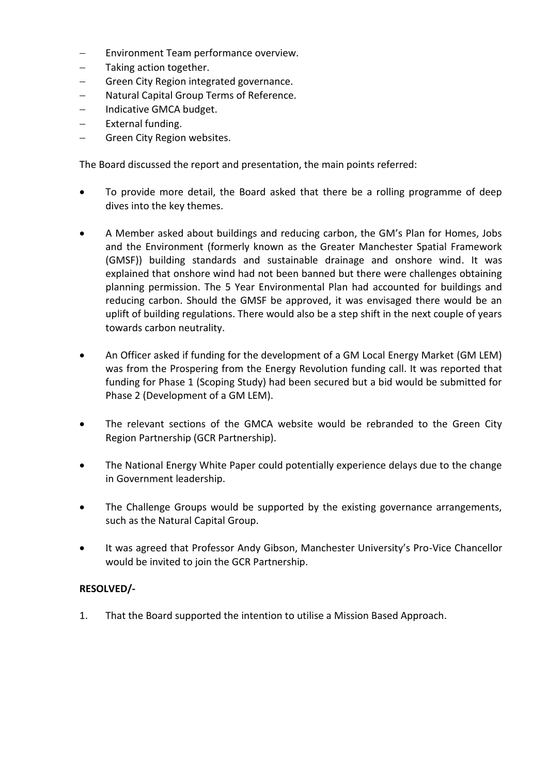- Environment Team performance overview.
- Taking action together.
- Green City Region integrated governance.
- Natural Capital Group Terms of Reference.
- $-$  Indicative GMCA budget.
- External funding.
- Green City Region websites.

The Board discussed the report and presentation, the main points referred:

- To provide more detail, the Board asked that there be a rolling programme of deep dives into the key themes.
- A Member asked about buildings and reducing carbon, the GM's Plan for Homes, Jobs and the Environment (formerly known as the Greater Manchester Spatial Framework (GMSF)) building standards and sustainable drainage and onshore wind. It was explained that onshore wind had not been banned but there were challenges obtaining planning permission. The 5 Year Environmental Plan had accounted for buildings and reducing carbon. Should the GMSF be approved, it was envisaged there would be an uplift of building regulations. There would also be a step shift in the next couple of years towards carbon neutrality.
- An Officer asked if funding for the development of a GM Local Energy Market (GM LEM) was from the Prospering from the Energy Revolution funding call. It was reported that funding for Phase 1 (Scoping Study) had been secured but a bid would be submitted for Phase 2 (Development of a GM LEM).
- The relevant sections of the GMCA website would be rebranded to the Green City Region Partnership (GCR Partnership).
- The National Energy White Paper could potentially experience delays due to the change in Government leadership.
- The Challenge Groups would be supported by the existing governance arrangements, such as the Natural Capital Group.
- It was agreed that Professor Andy Gibson, Manchester University's Pro-Vice Chancellor would be invited to join the GCR Partnership.

# **RESOLVED/-**

1. That the Board supported the intention to utilise a Mission Based Approach.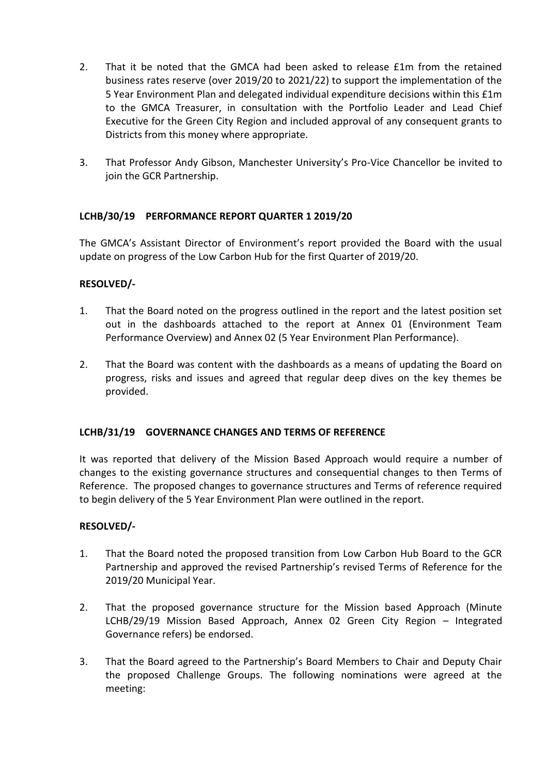- 2. That it be noted that the GMCA had been asked to release £1m from the retained business rates reserve (over 2019/20 to 2021/22) to support the implementation of the 5 Year Environment Plan and delegated individual expenditure decisions within this £1m to the GMCA Treasurer, in consultation with the Portfolio Leader and Lead Chief Executive for the Green City Region and included approval of any consequent grants to Districts from this money where appropriate.
- 3. That Professor Andy Gibson, Manchester University's Pro-Vice Chancellor be invited to join the GCR Partnership.

# **LCHB/30/19 PERFORMANCE REPORT QUARTER 1 2019/20**

The GMCA's Assistant Director of Environment's report provided the Board with the usual update on progress of the Low Carbon Hub for the first Quarter of 2019/20.

# **RESOLVED/-**

- 1. That the Board noted on the progress outlined in the report and the latest position set out in the dashboards attached to the report at Annex 01 (Environment Team Performance Overview) and Annex 02 (5 Year Environment Plan Performance).
- 2. That the Board was content with the dashboards as a means of updating the Board on progress, risks and issues and agreed that regular deep dives on the key themes be provided.

# **LCHB/31/19 GOVERNANCE CHANGES AND TERMS OF REFERENCE**

It was reported that delivery of the Mission Based Approach would require a number of changes to the existing governance structures and consequential changes to then Terms of Reference. The proposed changes to governance structures and Terms of reference required to begin delivery of the 5 Year Environment Plan were outlined in the report.

#### **RESOLVED/-**

- 1. That the Board noted the proposed transition from Low Carbon Hub Board to the GCR Partnership and approved the revised Partnership's revised Terms of Reference for the 2019/20 Municipal Year.
- 2. That the proposed governance structure for the Mission based Approach (Minute LCHB/29/19 Mission Based Approach, Annex 02 Green City Region – Integrated Governance refers) be endorsed.
- 3. That the Board agreed to the Partnership's Board Members to Chair and Deputy Chair the proposed Challenge Groups. The following nominations were agreed at the meeting: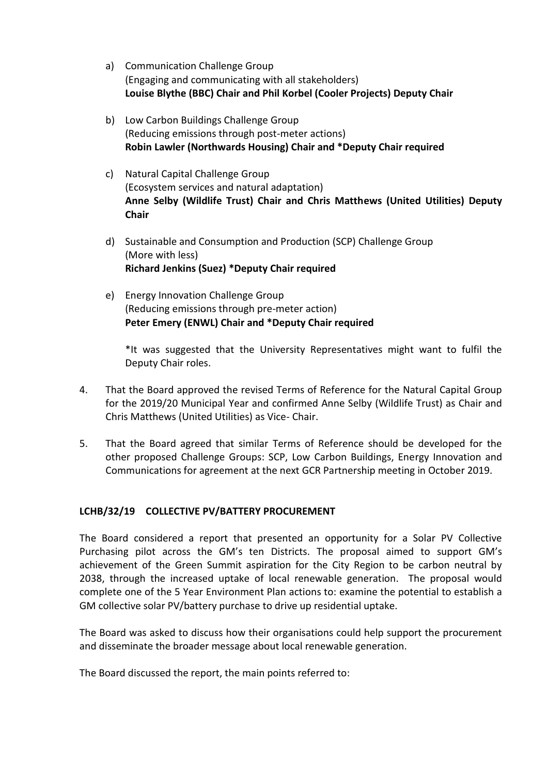- a) Communication Challenge Group (Engaging and communicating with all stakeholders) **Louise Blythe (BBC) Chair and Phil Korbel (Cooler Projects) Deputy Chair**
- b) Low Carbon Buildings Challenge Group (Reducing emissions through post-meter actions) **Robin Lawler (Northwards Housing) Chair and \*Deputy Chair required**
- c) Natural Capital Challenge Group (Ecosystem services and natural adaptation) **Anne Selby (Wildlife Trust) Chair and Chris Matthews (United Utilities) Deputy Chair**
- d) Sustainable and Consumption and Production (SCP) Challenge Group (More with less) **Richard Jenkins (Suez) \*Deputy Chair required**
- e) Energy Innovation Challenge Group (Reducing emissions through pre-meter action) **Peter Emery (ENWL) Chair and \*Deputy Chair required**

\*It was suggested that the University Representatives might want to fulfil the Deputy Chair roles.

- 4. That the Board approved the revised Terms of Reference for the Natural Capital Group for the 2019/20 Municipal Year and confirmed Anne Selby (Wildlife Trust) as Chair and Chris Matthews (United Utilities) as Vice- Chair.
- 5. That the Board agreed that similar Terms of Reference should be developed for the other proposed Challenge Groups: SCP, Low Carbon Buildings, Energy Innovation and Communications for agreement at the next GCR Partnership meeting in October 2019.

# **LCHB/32/19 COLLECTIVE PV/BATTERY PROCUREMENT**

The Board considered a report that presented an opportunity for a Solar PV Collective Purchasing pilot across the GM's ten Districts. The proposal aimed to support GM's achievement of the Green Summit aspiration for the City Region to be carbon neutral by 2038, through the increased uptake of local renewable generation. The proposal would complete one of the 5 Year Environment Plan actions to: examine the potential to establish a GM collective solar PV/battery purchase to drive up residential uptake.

The Board was asked to discuss how their organisations could help support the procurement and disseminate the broader message about local renewable generation.

The Board discussed the report, the main points referred to: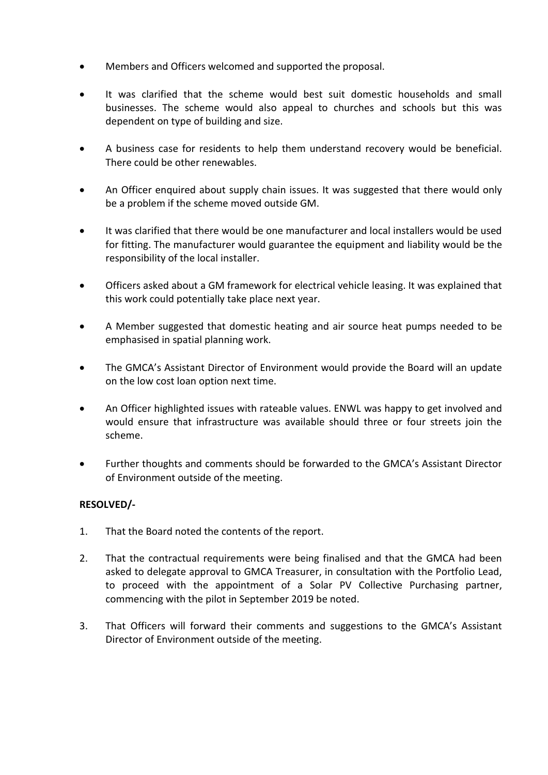- Members and Officers welcomed and supported the proposal.
- It was clarified that the scheme would best suit domestic households and small businesses. The scheme would also appeal to churches and schools but this was dependent on type of building and size.
- A business case for residents to help them understand recovery would be beneficial. There could be other renewables.
- An Officer enquired about supply chain issues. It was suggested that there would only be a problem if the scheme moved outside GM.
- It was clarified that there would be one manufacturer and local installers would be used for fitting. The manufacturer would guarantee the equipment and liability would be the responsibility of the local installer.
- Officers asked about a GM framework for electrical vehicle leasing. It was explained that this work could potentially take place next year.
- A Member suggested that domestic heating and air source heat pumps needed to be emphasised in spatial planning work.
- The GMCA's Assistant Director of Environment would provide the Board will an update on the low cost loan option next time.
- An Officer highlighted issues with rateable values. ENWL was happy to get involved and would ensure that infrastructure was available should three or four streets join the scheme.
- Further thoughts and comments should be forwarded to the GMCA's Assistant Director of Environment outside of the meeting.

# **RESOLVED/-**

- 1. That the Board noted the contents of the report.
- 2. That the contractual requirements were being finalised and that the GMCA had been asked to delegate approval to GMCA Treasurer, in consultation with the Portfolio Lead, to proceed with the appointment of a Solar PV Collective Purchasing partner, commencing with the pilot in September 2019 be noted.
- 3. That Officers will forward their comments and suggestions to the GMCA's Assistant Director of Environment outside of the meeting.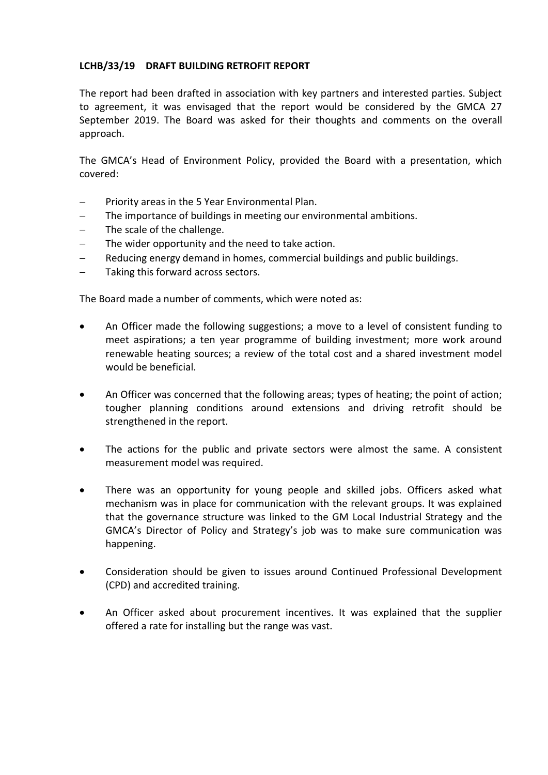### **LCHB/33/19 DRAFT BUILDING RETROFIT REPORT**

The report had been drafted in association with key partners and interested parties. Subject to agreement, it was envisaged that the report would be considered by the GMCA 27 September 2019. The Board was asked for their thoughts and comments on the overall approach.

The GMCA's Head of Environment Policy, provided the Board with a presentation, which covered:

- Priority areas in the 5 Year Environmental Plan.
- The importance of buildings in meeting our environmental ambitions.
- The scale of the challenge.
- The wider opportunity and the need to take action.
- Reducing energy demand in homes, commercial buildings and public buildings.
- Taking this forward across sectors.

The Board made a number of comments, which were noted as:

- An Officer made the following suggestions; a move to a level of consistent funding to meet aspirations; a ten year programme of building investment; more work around renewable heating sources; a review of the total cost and a shared investment model would be beneficial.
- An Officer was concerned that the following areas; types of heating; the point of action; tougher planning conditions around extensions and driving retrofit should be strengthened in the report.
- The actions for the public and private sectors were almost the same. A consistent measurement model was required.
- There was an opportunity for young people and skilled jobs. Officers asked what mechanism was in place for communication with the relevant groups. It was explained that the governance structure was linked to the GM Local Industrial Strategy and the GMCA's Director of Policy and Strategy's job was to make sure communication was happening.
- Consideration should be given to issues around Continued Professional Development (CPD) and accredited training.
- An Officer asked about procurement incentives. It was explained that the supplier offered a rate for installing but the range was vast.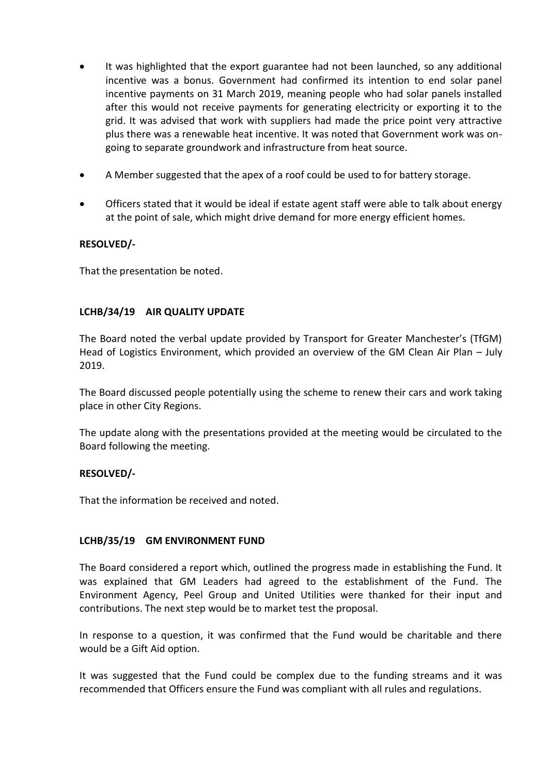- It was highlighted that the export guarantee had not been launched, so any additional incentive was a bonus. Government had confirmed its intention to end solar panel incentive payments on 31 March 2019, meaning people who had solar panels installed after this would not receive payments for generating electricity or exporting it to the grid. It was advised that work with suppliers had made the price point very attractive plus there was a renewable heat incentive. It was noted that Government work was ongoing to separate groundwork and infrastructure from heat source.
- A Member suggested that the apex of a roof could be used to for battery storage.
- Officers stated that it would be ideal if estate agent staff were able to talk about energy at the point of sale, which might drive demand for more energy efficient homes.

# **RESOLVED/-**

That the presentation be noted.

# **LCHB/34/19 AIR QUALITY UPDATE**

The Board noted the verbal update provided by Transport for Greater Manchester's (TfGM) Head of Logistics Environment, which provided an overview of the GM Clean Air Plan – July 2019.

The Board discussed people potentially using the scheme to renew their cars and work taking place in other City Regions.

The update along with the presentations provided at the meeting would be circulated to the Board following the meeting.

#### **RESOLVED/-**

That the information be received and noted.

#### **LCHB/35/19 GM ENVIRONMENT FUND**

The Board considered a report which, outlined the progress made in establishing the Fund. It was explained that GM Leaders had agreed to the establishment of the Fund. The Environment Agency, Peel Group and United Utilities were thanked for their input and contributions. The next step would be to market test the proposal.

In response to a question, it was confirmed that the Fund would be charitable and there would be a Gift Aid option.

It was suggested that the Fund could be complex due to the funding streams and it was recommended that Officers ensure the Fund was compliant with all rules and regulations.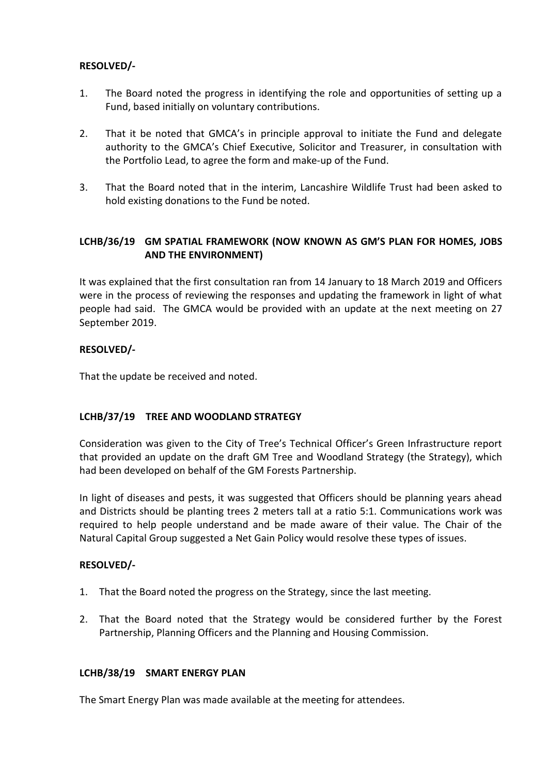# **RESOLVED/-**

- 1. The Board noted the progress in identifying the role and opportunities of setting up a Fund, based initially on voluntary contributions.
- 2. That it be noted that GMCA's in principle approval to initiate the Fund and delegate authority to the GMCA's Chief Executive, Solicitor and Treasurer, in consultation with the Portfolio Lead, to agree the form and make-up of the Fund.
- 3. That the Board noted that in the interim, Lancashire Wildlife Trust had been asked to hold existing donations to the Fund be noted.

# **LCHB/36/19 GM SPATIAL FRAMEWORK (NOW KNOWN AS GM'S PLAN FOR HOMES, JOBS AND THE ENVIRONMENT)**

It was explained that the first consultation ran from 14 January to 18 March 2019 and Officers were in the process of reviewing the responses and updating the framework in light of what people had said. The GMCA would be provided with an update at the next meeting on 27 September 2019.

# **RESOLVED/-**

That the update be received and noted.

# **LCHB/37/19 TREE AND WOODLAND STRATEGY**

Consideration was given to the City of Tree's Technical Officer's Green Infrastructure report that provided an update on the draft GM Tree and Woodland Strategy (the Strategy), which had been developed on behalf of the GM Forests Partnership.

In light of diseases and pests, it was suggested that Officers should be planning years ahead and Districts should be planting trees 2 meters tall at a ratio 5:1. Communications work was required to help people understand and be made aware of their value. The Chair of the Natural Capital Group suggested a Net Gain Policy would resolve these types of issues.

# **RESOLVED/-**

- 1. That the Board noted the progress on the Strategy, since the last meeting.
- 2. That the Board noted that the Strategy would be considered further by the Forest Partnership, Planning Officers and the Planning and Housing Commission.

#### **LCHB/38/19 SMART ENERGY PLAN**

The Smart Energy Plan was made available at the meeting for attendees.